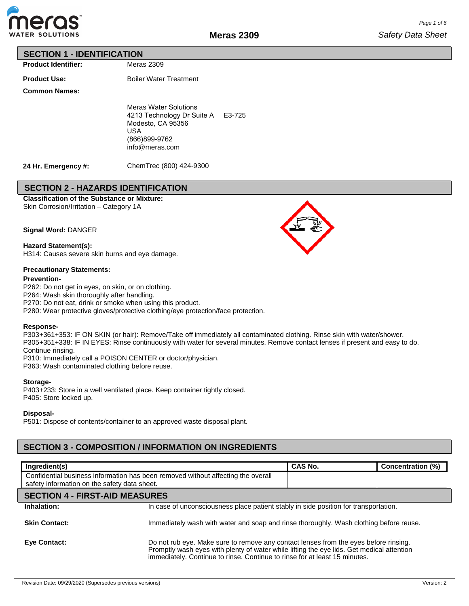

## **SECTION 1 - IDENTIFICATION**

**Product Identifier:**

**Product Use:**

Boiler Water Treatment

Meras 2309

**Common Names:**

Meras Water Solutions 4213 Technology Dr Suite A E3-725 Modesto, CA 95356 USA (866)899-9762 info@meras.com

**24 Hr. Emergency #:**

ChemTrec (800) 424-9300

# **SECTION 2 - HAZARDS IDENTIFICATION**

**Classification of the Substance or Mixture:** Skin Corrosion/Irritation – Category 1A

**Signal Word:** DANGER

**Hazard Statement(s):** H314: Causes severe skin burns and eye damage.

## **Precautionary Statements:**

#### **Prevention-**

P262: Do not get in eyes, on skin, or on clothing.

P264: Wash skin thoroughly after handling.

P270: Do not eat, drink or smoke when using this product.

P280: Wear protective gloves/protective clothing/eye protection/face protection.

#### **Response-**

P303+361+353: IF ON SKIN (or hair): Remove/Take off immediately all contaminated clothing. Rinse skin with water/shower. P305+351+338: IF IN EYES: Rinse continuously with water for several minutes. Remove contact lenses if present and easy to do. Continue rinsing.

P310: Immediately call a POISON CENTER or doctor/physician.

P363: Wash contaminated clothing before reuse.

### **Storage-**

P403+233: Store in a well ventilated place. Keep container tightly closed. P405: Store locked up.

**Disposal-**

P501: Dispose of contents/container to an approved waste disposal plant.

# **SECTION 3 - COMPOSITION / INFORMATION ON INGREDIENTS**

| Ingredient(s)                                                                                                                    |                                                                                                                                                                                                                                                                 | <b>CAS No.</b> | Concentration (%) |  |
|----------------------------------------------------------------------------------------------------------------------------------|-----------------------------------------------------------------------------------------------------------------------------------------------------------------------------------------------------------------------------------------------------------------|----------------|-------------------|--|
| Confidential business information has been removed without affecting the overall<br>safety information on the safety data sheet. |                                                                                                                                                                                                                                                                 |                |                   |  |
| <b>SECTION 4 - FIRST-AID MEASURES</b>                                                                                            |                                                                                                                                                                                                                                                                 |                |                   |  |
| Inhalation:                                                                                                                      | In case of unconsciousness place patient stably in side position for transportation.                                                                                                                                                                            |                |                   |  |
| <b>Skin Contact:</b>                                                                                                             | Immediately wash with water and soap and rinse thoroughly. Wash clothing before reuse.                                                                                                                                                                          |                |                   |  |
| <b>Eve Contact:</b>                                                                                                              | Do not rub eye. Make sure to remove any contact lenses from the eyes before rinsing.<br>Promptly wash eyes with plenty of water while lifting the eye lids. Get medical attention<br>immediately. Continue to rinse. Continue to rinse for at least 15 minutes. |                |                   |  |

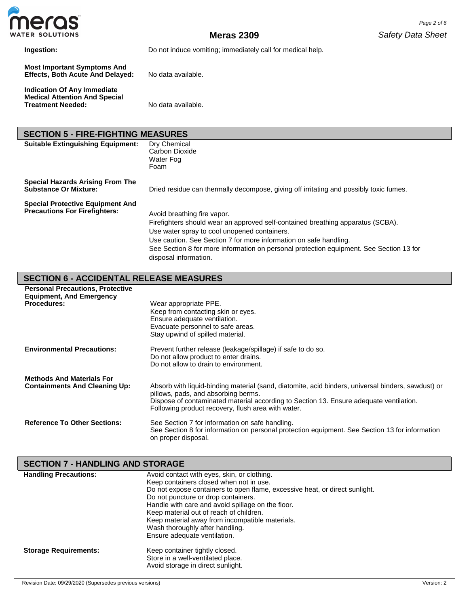

**Meras 2309**

**Ingestion:** Do not induce vomiting; immediately call for medical help.

| Indication Of Any Immediate          |                    |
|--------------------------------------|--------------------|
| <b>Medical Attention And Special</b> |                    |
| <b>Treatment Needed:</b>             | No data available. |

| <b>SECTION 5 - FIRE-FIGHTING MEASURES</b>                                       |                                                                                                                                                                                                                                                                                                                                                         |  |  |  |  |  |
|---------------------------------------------------------------------------------|---------------------------------------------------------------------------------------------------------------------------------------------------------------------------------------------------------------------------------------------------------------------------------------------------------------------------------------------------------|--|--|--|--|--|
| <b>Suitable Extinguishing Equipment:</b>                                        | Dry Chemical<br>Carbon Dioxide<br>Water Fog<br>Foam                                                                                                                                                                                                                                                                                                     |  |  |  |  |  |
| <b>Special Hazards Arising From The</b><br><b>Substance Or Mixture:</b>         | Dried residue can thermally decompose, giving off irritating and possibly toxic fumes.                                                                                                                                                                                                                                                                  |  |  |  |  |  |
| <b>Special Protective Equipment And</b><br><b>Precautions For Firefighters:</b> | Avoid breathing fire vapor.<br>Firefighters should wear an approved self-contained breathing apparatus (SCBA).<br>Use water spray to cool unopened containers.<br>Use caution. See Section 7 for more information on safe handling.<br>See Section 8 for more information on personal protection equipment. See Section 13 for<br>disposal information. |  |  |  |  |  |

# **SECTION 6 - ACCIDENTAL RELEASE MEASURES**

| <b>Personal Precautions, Protective</b><br><b>Equipment, And Emergency</b><br><b>Procedures:</b> | Wear appropriate PPE.<br>Keep from contacting skin or eyes.<br>Ensure adequate ventilation.<br>Evacuate personnel to safe areas.<br>Stay upwind of spilled material.                                                                                                                      |
|--------------------------------------------------------------------------------------------------|-------------------------------------------------------------------------------------------------------------------------------------------------------------------------------------------------------------------------------------------------------------------------------------------|
| <b>Environmental Precautions:</b>                                                                | Prevent further release (leakage/spillage) if safe to do so.<br>Do not allow product to enter drains.<br>Do not allow to drain to environment.                                                                                                                                            |
| <b>Methods And Materials For</b><br><b>Containments And Cleaning Up:</b>                         | Absorb with liquid-binding material (sand, diatomite, acid binders, universal binders, sawdust) or<br>pillows, pads, and absorbing berms.<br>Dispose of contaminated material according to Section 13. Ensure adequate ventilation.<br>Following product recovery, flush area with water. |
| <b>Reference To Other Sections:</b>                                                              | See Section 7 for information on safe handling.<br>See Section 8 for information on personal protection equipment. See Section 13 for information<br>on proper disposal.                                                                                                                  |

# **SECTION 7 - HANDLING AND STORAGE**

| <b>Handling Precautions:</b> | Avoid contact with eyes, skin, or clothing.                                 |
|------------------------------|-----------------------------------------------------------------------------|
|                              | Keep containers closed when not in use.                                     |
|                              | Do not expose containers to open flame, excessive heat, or direct sunlight. |
|                              | Do not puncture or drop containers.                                         |
|                              | Handle with care and avoid spillage on the floor.                           |
|                              | Keep material out of reach of children.                                     |
|                              | Keep material away from incompatible materials.                             |
|                              | Wash thoroughly after handling.                                             |
|                              | Ensure adequate ventilation.                                                |
| <b>Storage Requirements:</b> | Keep container tightly closed.                                              |
|                              | Store in a well-ventilated place.                                           |
|                              | Avoid storage in direct sunlight.                                           |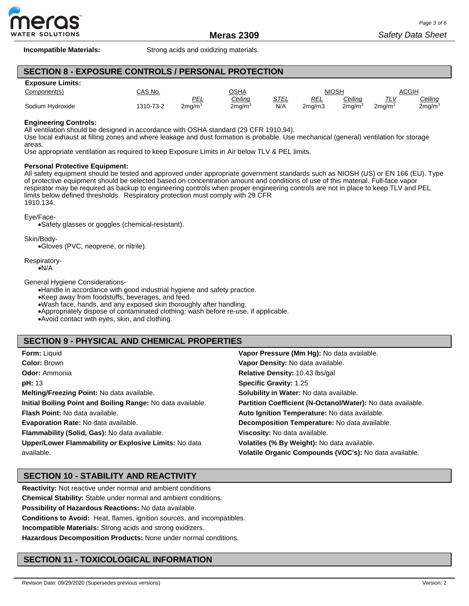

**Incompatible Materials:** Strong acids and oxidizing materials.

# **SECTION 8 - EXPOSURE CONTROLS / PERSONAL PROTECTION**

#### **Exposure Limits:**

| ________________________ |           |              |                    |      |              |                    |                   |                    |
|--------------------------|-----------|--------------|--------------------|------|--------------|--------------------|-------------------|--------------------|
| Component(s)             | CAS No.   | OSHA         |                    |      | <b>NIOSH</b> |                    | <b>ACGIH</b>      |                    |
|                          |           | <b>PEL</b>   | Ceiling            | STEL | REL          | Ceiling            | $T^{\prime}$<br>. | <u>Ceiling</u>     |
| Sodium Hydroxide         | 1310-73-2 | $2$ mg/m $3$ | 2ma/m <sup>3</sup> | N/A  | 2ma/m3       | 2mq/m <sup>3</sup> | $2$ ma/m $3$      | 2mg/m <sup>3</sup> |

### **Engineering Controls:**

All ventilation should be designed in accordance with OSHA standard (29 CFR 1910.94).

Use local exhaust at filling zones and where leakage and dust formation is probable. Use mechanical (general) ventilation for storage areas.

Use appropriate ventilation as required to keep Exposure Limits in Air below TLV & PEL limits.

#### **Personal Protective Equipment:**

All safety equipment should be tested and approved under appropriate government standards such as NIOSH (US) or EN 166 (EU). Type of protective equipment should be selected based on concentration amount and conditions of use of this material. Full-face vapor respirator may be required as backup to engineering controls when proper engineering controls are not in place to keep TLV and PEL limits below defined thresholds. Respiratory protection must comply with 29 CFR 1910.134.

#### Eye/Face-

•Safety glasses or goggles (chemical-resistant).

Skin/Body-

•Gloves (PVC, neoprene, or nitrile).

Respiratory-

•N/A

General Hygiene Considerations-

•Handle in accordance with good industrial hygiene and safety practice.

•Keep away from foodstuffs, beverages, and feed.

•Wash face, hands, and any exposed skin thoroughly after handling.

•Appropriately dispose of contaminated clothing; wash before re-use, if applicable.

•Avoid contact with eyes, skin, and clothing.

## **SECTION 9 - PHYSICAL AND CHEMICAL PROPERTIES**

| <b>Form: Liquid</b>                                         | Vapor Pressure (Mm Hg): No data available.                  |
|-------------------------------------------------------------|-------------------------------------------------------------|
| <b>Color: Brown</b>                                         | Vapor Density: No data available.                           |
| <b>Odor:</b> Ammonia                                        | Relative Density: 10.43 lbs/gal                             |
| <b>pH:</b> 13                                               | <b>Specific Gravity: 1.25</b>                               |
| Melting/Freezing Point: No data available.                  | Solubility in Water: No data available.                     |
| Initial Boiling Point and Boiling Range: No data available. | Partition Coefficient (N-Octanol/Water): No data available. |
| <b>Flash Point:</b> No data available.                      | Auto Ignition Temperature: No data available.               |
| <b>Evaporation Rate: No data available.</b>                 | Decomposition Temperature: No data available.               |
| Flammability (Solid, Gas): No data available.               | Viscosity: No data available.                               |
| Upper/Lower Flammability or Explosive Limits: No data       | Volatiles (% By Weight): No data available.                 |
| available.                                                  | Volatile Organic Compounds (VOC's): No data available.      |

# **SECTION 10 - STABILITY AND REACTIVITY**

**Reactivity:** Not reactive under normal and ambient conditions

**Chemical Stability:** Stable under normal and ambient conditions.

**Possibility of Hazardous Reactions:** No data available.

**Conditions to Avoid:** Heat, flames, ignition sources, and incompatibles.

**Incompatible Materials:** Strong acids and strong oxidizers.

**Hazardous Decomposition Products:** None under normal conditions.

# **SECTION 11 - TOXICOLOGICAL INFORMATION**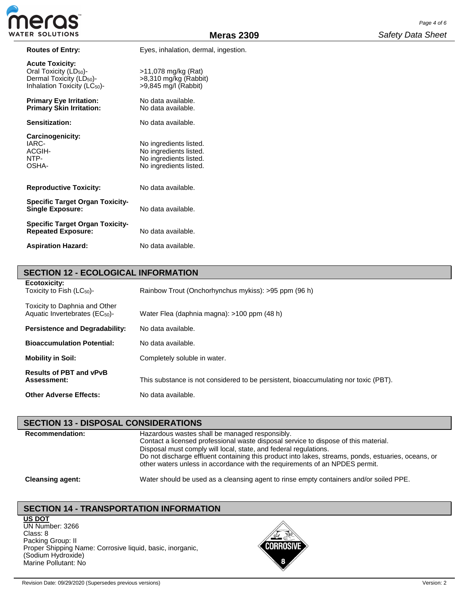| <b>Routes of Entry:</b>                                                                                                                          | Eyes, inhalation, dermal, ingestion.                                                                 |
|--------------------------------------------------------------------------------------------------------------------------------------------------|------------------------------------------------------------------------------------------------------|
| <b>Acute Toxicity:</b><br>Oral Toxicity (LD <sub>50</sub> )-<br>Dermal Toxicity (LD <sub>50</sub> )-<br>Inhalation Toxicity (LC <sub>50</sub> )- | >11,078 mg/kg (Rat)<br>$>8,310$ mg/kg (Rabbit)<br>$>9,845$ mg/l (Rabbit)                             |
| <b>Primary Eye Irritation:</b><br><b>Primary Skin Irritation:</b>                                                                                | No data available.<br>No data available.                                                             |
| Sensitization:                                                                                                                                   | No data available.                                                                                   |
| Carcinogenicity:<br>IARC-<br>ACGIH-<br>NTP-<br>OSHA-                                                                                             | No ingredients listed.<br>No ingredients listed.<br>No ingredients listed.<br>No ingredients listed. |
| <b>Reproductive Toxicity:</b>                                                                                                                    | No data available.                                                                                   |
| <b>Specific Target Organ Toxicity-</b><br><b>Single Exposure:</b>                                                                                | No data available.                                                                                   |
| <b>Specific Target Organ Toxicity-</b><br><b>Repeated Exposure:</b>                                                                              | No data available.                                                                                   |
| <b>Aspiration Hazard:</b>                                                                                                                        | No data available.                                                                                   |

| <b>SECTION 12 - ECOLOGICAL INFORMATION</b>                            |                                                                                     |
|-----------------------------------------------------------------------|-------------------------------------------------------------------------------------|
| Ecotoxicity:<br>Toxicity to Fish $(LC_{50})$ -                        | Rainbow Trout (Onchorhynchus mykiss): >95 ppm (96 h)                                |
| Toxicity to Daphnia and Other<br>Aquatic Invertebrates ( $EC_{50}$ )- | Water Flea (daphnia magna): >100 ppm (48 h)                                         |
| <b>Persistence and Degradability:</b>                                 | No data available.                                                                  |
| <b>Bioaccumulation Potential:</b>                                     | No data available.                                                                  |
| <b>Mobility in Soil:</b>                                              | Completely soluble in water.                                                        |
| <b>Results of PBT and vPvB</b><br>Assessment:                         | This substance is not considered to be persistent, bioaccumulating nor toxic (PBT). |
| <b>Other Adverse Effects:</b>                                         | No data available.                                                                  |

## **SECTION 13 - DISPOSAL CONSIDERATIONS**

**Recommendation:** Hazardous wastes shall be managed responsibly. Contact a licensed professional waste disposal service to dispose of this material. Disposal must comply will local, state, and federal regulations. Do not discharge effluent containing this product into lakes, streams, ponds, estuaries, oceans, or other waters unless in accordance with the requirements of an NPDES permit.

**Cleansing agent:** Water should be used as a cleansing agent to rinse empty containers and/or soiled PPE.

# **SECTION 14 - TRANSPORTATION INFORMATION**

**US DOT** UN Number: 3266 Class: 8 Packing Group: II Proper Shipping Name: Corrosive liquid, basic, inorganic, (Sodium Hydroxide) Marine Pollutant: No

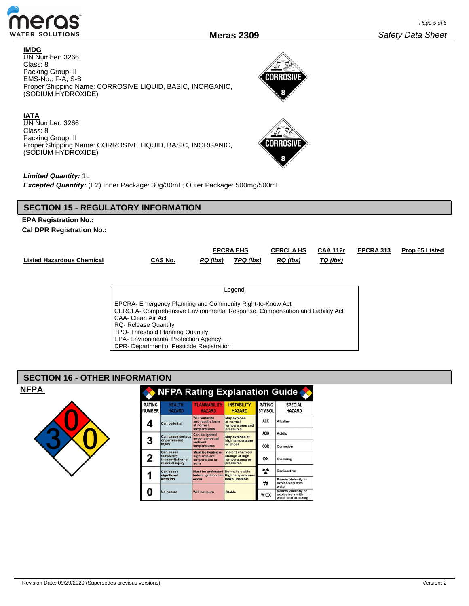

**CORROSIVE** 

**CORROSIVI** я

#### **IMDG**

UN Number: 3266 Class: 8 Packing Group: II EMS-No.: F-A, S-B Proper Shipping Name: CORROSIVE LIQUID, BASIC, INORGANIC, (SODIUM HYDROXIDE)

## **IATA**

UN Number: 3266 Class: 8 Packing Group: II Proper Shipping Name: CORROSIVE LIQUID, BASIC, INORGANIC, (SODIUM HYDROXIDE)

## *Limited Quantity:* 1L

*Excepted Quantity:* (E2) Inner Package: 30g/30mL; Outer Package: 500mg/500mL

# **SECTION 15 - REGULATORY INFORMATION**

# **EPA Registration No.: Cal DPR Registration No.:**

|                                  |                                                                                                                                                                                                                                                                                   |          | <b>EPCRA EHS</b> | <b>CERCLA HS</b> | <b>CAA 112r</b> | EPCRA 313 | Prop 65 Listed |
|----------------------------------|-----------------------------------------------------------------------------------------------------------------------------------------------------------------------------------------------------------------------------------------------------------------------------------|----------|------------------|------------------|-----------------|-----------|----------------|
| <b>Listed Hazardous Chemical</b> | CAS No.                                                                                                                                                                                                                                                                           | RQ (lbs) | TPQ (lbs)        | RQ (lbs)         | TQ (lbs)        |           |                |
|                                  |                                                                                                                                                                                                                                                                                   |          |                  |                  |                 |           |                |
|                                  |                                                                                                                                                                                                                                                                                   |          |                  |                  |                 |           |                |
|                                  |                                                                                                                                                                                                                                                                                   |          | Legend           |                  |                 |           |                |
|                                  | EPCRA- Emergency Planning and Community Right-to-Know Act<br>CERCLA- Comprehensive Environmental Response, Compensation and Liability Act<br>CAA- Clean Air Act<br><b>RQ-</b> Release Quantity<br>TPQ- Threshold Planning Quantity<br><b>EPA- Environmental Protection Agency</b> |          |                  |                  |                 |           |                |
|                                  | DPR- Department of Pesticide Registration                                                                                                                                                                                                                                         |          |                  |                  |                 |           |                |

## **SECTION 16 - OTHER INFORMATION**



| <b>NFPA Rating Explanation Guide</b> |                                                                |                                                                       |                                                                           |                                |                                                                |  |  |
|--------------------------------------|----------------------------------------------------------------|-----------------------------------------------------------------------|---------------------------------------------------------------------------|--------------------------------|----------------------------------------------------------------|--|--|
| <b>RATING</b><br><b>NUMBER</b>       | <b>HEALTH</b><br><b>HAZARD</b>                                 | <b>FLAMMABILITY</b><br><b>HAZARD</b>                                  | <b>INSTABILITY</b><br><b>HAZARD</b>                                       | <b>RATING</b><br><b>SYMBOL</b> | <b>SPECIAL</b><br><b>HAZARD</b>                                |  |  |
|                                      | Can be lethal                                                  | <b>Will vaporize</b><br>and readily burn<br>at normal<br>temperatures | <b>May explode</b><br>at normal<br>temperatures and<br>pressures          | <b>ALK</b>                     | <b>Alkaline</b>                                                |  |  |
| 3                                    | Can cause serious<br>or permanent                              | Can be ignited<br>under almost all                                    | May explode at<br>high temperature                                        | <b>ACID</b><br>Acidic          |                                                                |  |  |
|                                      | injury                                                         | ambient<br>temperatures                                               | or shock                                                                  | COR                            | Corrosive                                                      |  |  |
| 2                                    | Can cause<br>temporary<br>incapacitation or<br>residual injury | Must be heated or<br>high ambient<br>temperature to<br>burn           | <b>Violent chemical</b><br>change at high<br>temperatures or<br>pressures | ОX                             | Oxidizing                                                      |  |  |
|                                      | Can cause<br>significant                                       | Must be preheated Normally stable.                                    | before ignition can High temperatures                                     | ∗∗                             | Radioactive                                                    |  |  |
|                                      | irritation                                                     | occur                                                                 | make unstable                                                             | ₩                              | <b>Reacts violently or</b><br>explosively with<br>water        |  |  |
|                                      | No hazard                                                      | Will not burn                                                         | <b>Stable</b>                                                             | ₩OX                            | Reacts violently or<br>explosively with<br>water and oxidizing |  |  |